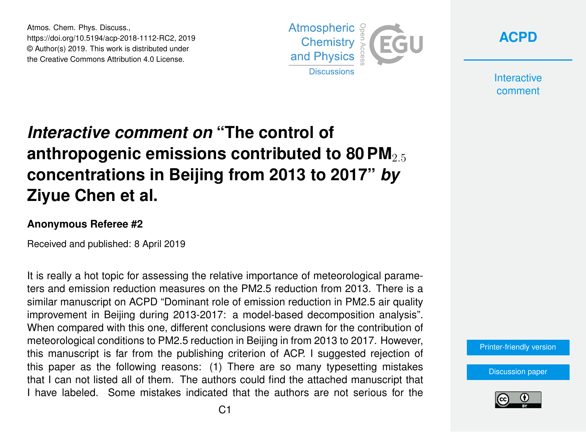Atmos. Chem. Phys. Discuss., https://doi.org/10.5194/acp-2018-1112-RC2, 2019 © Author(s) 2019. This work is distributed under the Creative Commons Attribution 4.0 License.



**[ACPD](https://www.atmos-chem-phys-discuss.net/)**

**Interactive** comment

## *Interactive comment on* **"The control of anthropogenic emissions contributed to 80 PM**<sub>2.5</sub> **concentrations in Beijing from 2013 to 2017"** *by* **Ziyue Chen et al.**

## **Anonymous Referee #2**

Received and published: 8 April 2019

It is really a hot topic for assessing the relative importance of meteorological parameters and emission reduction measures on the PM2.5 reduction from 2013. There is a similar manuscript on ACPD "Dominant role of emission reduction in PM2.5 air quality improvement in Beijing during 2013-2017: a model-based decomposition analysis". When compared with this one, different conclusions were drawn for the contribution of meteorological conditions to PM2.5 reduction in Beijing in from 2013 to 2017. However, this manuscript is far from the publishing criterion of ACP. I suggested rejection of this paper as the following reasons: (1) There are so many typesetting mistakes that I can not listed all of them. The authors could find the attached manuscript that I have labeled. Some mistakes indicated that the authors are not serious for the

[Printer-friendly version](https://www.atmos-chem-phys-discuss.net/acp-2018-1112/acp-2018-1112-RC2-print.pdf)

[Discussion paper](https://www.atmos-chem-phys-discuss.net/acp-2018-1112)